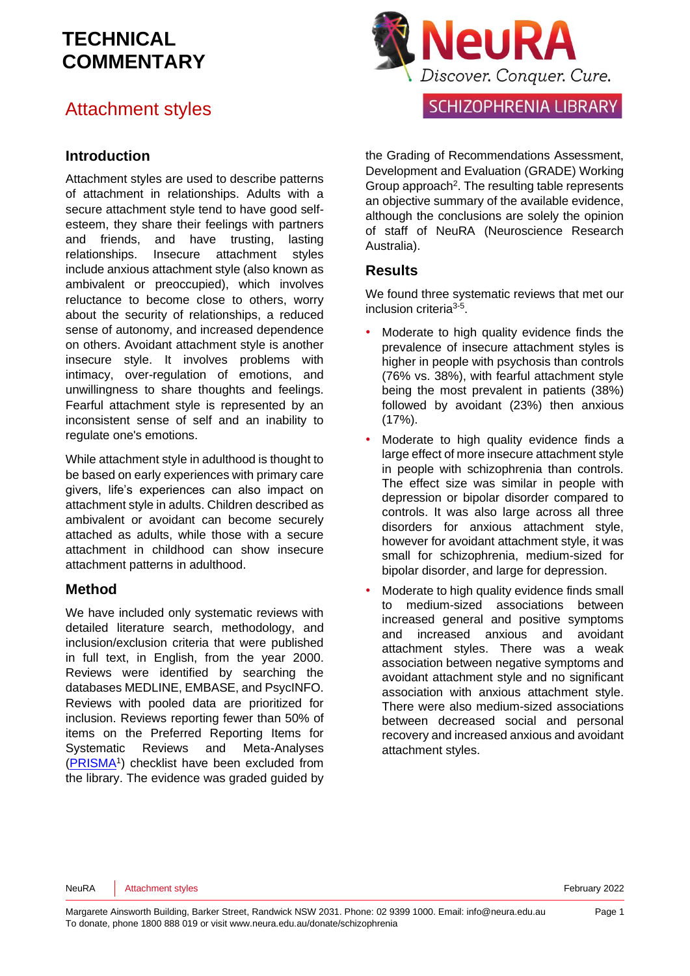#### Attachment styles

#### **Introduction**

Attachment styles are used to describe patterns of attachment in relationships. Adults with a secure attachment style tend to have good selfesteem, they share their feelings with partners and friends, and have trusting, lasting relationships. Insecure attachment styles include anxious attachment style (also known as ambivalent or preoccupied), which involves reluctance to become close to others, worry about the security of relationships, a reduced sense of autonomy, and increased dependence on others. Avoidant attachment style is another insecure style. It involves problems with intimacy, over-regulation of emotions, and unwillingness to share thoughts and feelings. Fearful attachment style is represented by an inconsistent sense of self and an inability to regulate one's emotions.

While attachment style in adulthood is thought to be based on early experiences with primary care givers, life's experiences can also impact on attachment style in adults. Children described as ambivalent or avoidant can become securely attached as adults, while those with a secure attachment in childhood can show insecure attachment patterns in adulthood.

#### **Method**

We have included only systematic reviews with detailed literature search, methodology, and inclusion/exclusion criteria that were published in full text, in English, from the year 2000. Reviews were identified by searching the databases MEDLINE, EMBASE, and PsycINFO. Reviews with pooled data are prioritized for inclusion. Reviews reporting fewer than 50% of items on the Preferred Reporting Items for Systematic Reviews and Meta-Analyses [\(PRISMA](http://www.prisma-statement.org/)<sup>1</sup>[\)](#page-8-0) checklist have been excluded from the library. The evidence was graded guided by



#### **SCHIZOPHRENIA LIBRARY**

the Grading of Recommendations Assessment, Development and Evaluation [\(GRADE\)](http://www.gradeworkinggroup.org/) Working Group approach<sup>[2](#page-8-1)</sup>. The resulting table represents an objective summary of the available evidence, although the conclusions are solely the opinion of staff of NeuRA (Neuroscience Research Australia).

#### **Results**

We found three systematic reviews that met our inclusion criteria<sup>[3-5](#page-8-2)</sup>.

- Moderate to high quality evidence finds the prevalence of insecure attachment styles is higher in people with psychosis than controls (76% vs. 38%), with fearful attachment style being the most prevalent in patients (38%) followed by avoidant (23%) then anxious (17%).
- Moderate to high quality evidence finds a large effect of more insecure attachment style in people with schizophrenia than controls. The effect size was similar in people with depression or bipolar disorder compared to controls. It was also large across all three disorders for anxious attachment style, however for avoidant attachment style, it was small for schizophrenia, medium-sized for bipolar disorder, and large for depression.
- Moderate to high quality evidence finds small to medium-sized associations between increased general and positive symptoms and increased anxious and avoidant attachment styles. There was a weak association between negative symptoms and avoidant attachment style and no significant association with anxious attachment style. There were also medium-sized associations between decreased social and personal recovery and increased anxious and avoidant attachment styles.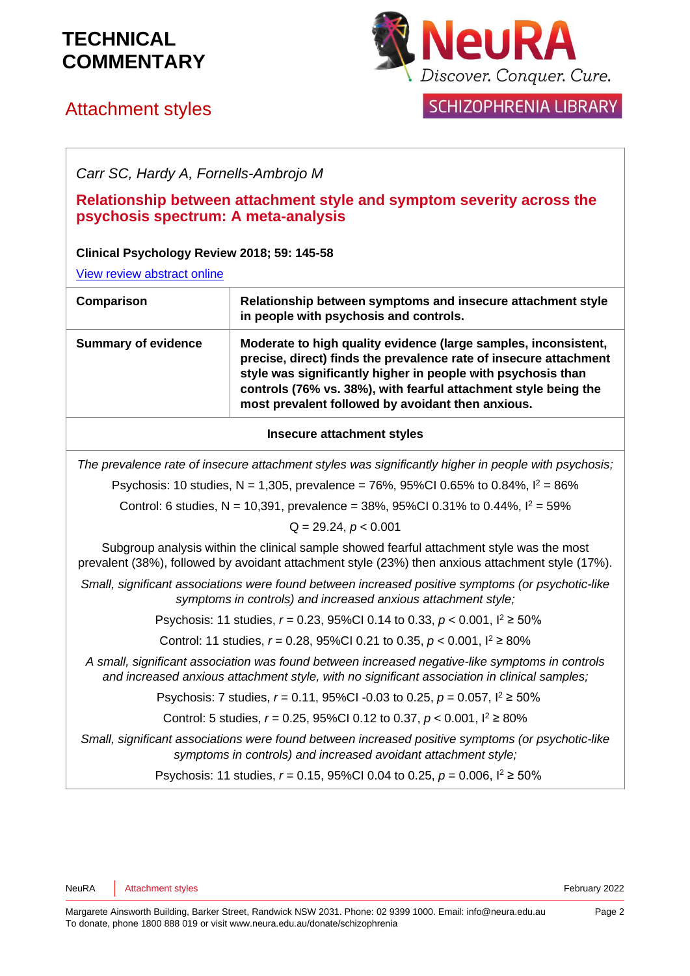## Attachment styles



#### **SCHIZOPHRENIA LIBRARY**

*Carr SC, Hardy A, Fornells-Ambrojo M*

**Relationship between attachment style and symptom severity across the psychosis spectrum: A meta-analysis** 

#### **Clinical Psychology Review 2018; 59: 145-58**

[View review abstract online](https://www.ncbi.nlm.nih.gov/pubmed/29229220)

| Comparison                 | Relationship between symptoms and insecure attachment style<br>in people with psychosis and controls.                                                                                                                                                                                                                        |
|----------------------------|------------------------------------------------------------------------------------------------------------------------------------------------------------------------------------------------------------------------------------------------------------------------------------------------------------------------------|
| <b>Summary of evidence</b> | Moderate to high quality evidence (large samples, inconsistent,<br>precise, direct) finds the prevalence rate of insecure attachment<br>style was significantly higher in people with psychosis than<br>controls (76% vs. 38%), with fearful attachment style being the<br>most prevalent followed by avoidant then anxious. |

#### **Insecure attachment styles**

*The prevalence rate of insecure attachment styles was significantly higher in people with psychosis;*

Psychosis: 10 studies, N = 1,305, prevalence = 76%, 95%CI 0.65% to 0.84%,  $I^2 = 86\%$ 

Control: 6 studies, N = 10,391, prevalence = 38%, 95%CI 0.31% to 0.44%,  $I^2 = 59%$ 

Q = 29.24, *p* < 0.001

Subgroup analysis within the clinical sample showed fearful attachment style was the most prevalent (38%), followed by avoidant attachment style (23%) then anxious attachment style (17%).

*Small, significant associations were found between increased positive symptoms (or psychotic-like symptoms in controls) and increased anxious attachment style;*

Psychosis: 11 studies, *r* = 0.23, 95%CI 0.14 to 0.33, *p* < 0.001, I <sup>2</sup> ≥ 50%

Control: 11 studies, *r* = 0.28, 95%CI 0.21 to 0.35, *p* < 0.001, I <sup>2</sup> ≥ 80%

*A small, significant association was found between increased negative-like symptoms in controls and increased anxious attachment style, with no significant association in clinical samples;*

Psychosis: 7 studies, *r* = 0.11, 95%CI -0.03 to 0.25, *p* = 0.057, I <sup>2</sup> ≥ 50%

Control: 5 studies, *r* = 0.25, 95%CI 0.12 to 0.37, *p* < 0.001, I <sup>2</sup> ≥ 80%

*Small, significant associations were found between increased positive symptoms (or psychotic-like symptoms in controls) and increased avoidant attachment style;*

Psychosis: 11 studies, *r* = 0.15, 95%CI 0.04 to 0.25, *p* = 0.006, I <sup>2</sup> ≥ 50%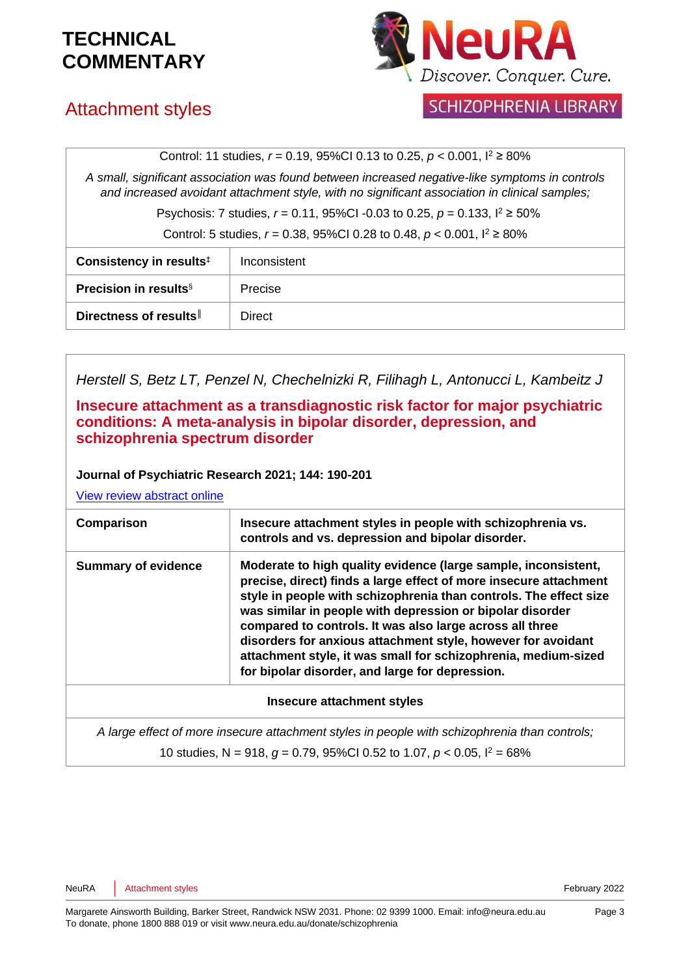

### Attachment styles

#### **SCHIZOPHRENIA LIBRARY**

Control: 11 studies, *r* = 0.19, 95%CI 0.13 to 0.25, *p* < 0.001, I <sup>2</sup> ≥ 80%

*A small, significant association was found between increased negative-like symptoms in controls and increased avoidant attachment style, with no significant association in clinical samples;*

Psychosis: 7 studies, *r* = 0.11, 95%CI -0.03 to 0.25, *p* = 0.133, I <sup>2</sup> ≥ 50%

Control: 5 studies, *r* = 0.38, 95%CI 0.28 to 0.48, *p* < 0.001, I <sup>2</sup> ≥ 80%

| Consistency in results <sup>‡</sup> | Inconsistent |
|-------------------------------------|--------------|
| <b>Precision in results</b> §       | Precise      |
| Directness of results               | Direct       |

| Herstell S, Betz LT, Penzel N, Chechelnizki R, Filihagh L, Antonucci L, Kambeitz J                                                                                                                                                                                     |                                                                                                                                                                                                                                                                                                                                                                                                                                                                                                                        |  |
|------------------------------------------------------------------------------------------------------------------------------------------------------------------------------------------------------------------------------------------------------------------------|------------------------------------------------------------------------------------------------------------------------------------------------------------------------------------------------------------------------------------------------------------------------------------------------------------------------------------------------------------------------------------------------------------------------------------------------------------------------------------------------------------------------|--|
| Insecure attachment as a transdiagnostic risk factor for major psychiatric<br>conditions: A meta-analysis in bipolar disorder, depression, and<br>schizophrenia spectrum disorder<br>Journal of Psychiatric Research 2021; 144: 190-201<br>View review abstract online |                                                                                                                                                                                                                                                                                                                                                                                                                                                                                                                        |  |
|                                                                                                                                                                                                                                                                        |                                                                                                                                                                                                                                                                                                                                                                                                                                                                                                                        |  |
| Comparison                                                                                                                                                                                                                                                             | Insecure attachment styles in people with schizophrenia vs.<br>controls and vs. depression and bipolar disorder.                                                                                                                                                                                                                                                                                                                                                                                                       |  |
| <b>Summary of evidence</b>                                                                                                                                                                                                                                             | Moderate to high quality evidence (large sample, inconsistent,<br>precise, direct) finds a large effect of more insecure attachment<br>style in people with schizophrenia than controls. The effect size<br>was similar in people with depression or bipolar disorder<br>compared to controls. It was also large across all three<br>disorders for anxious attachment style, however for avoidant<br>attachment style, it was small for schizophrenia, medium-sized<br>for bipolar disorder, and large for depression. |  |
| <b>Insecure attachment styles</b>                                                                                                                                                                                                                                      |                                                                                                                                                                                                                                                                                                                                                                                                                                                                                                                        |  |
| A large effect of more insecure attachment styles in people with schizophrenia than controls;                                                                                                                                                                          |                                                                                                                                                                                                                                                                                                                                                                                                                                                                                                                        |  |
|                                                                                                                                                                                                                                                                        | 10 studies, N = 918, $g = 0.79$ , 95%Cl 0.52 to 1.07, $p < 0.05$ , $l^2 = 68\%$                                                                                                                                                                                                                                                                                                                                                                                                                                        |  |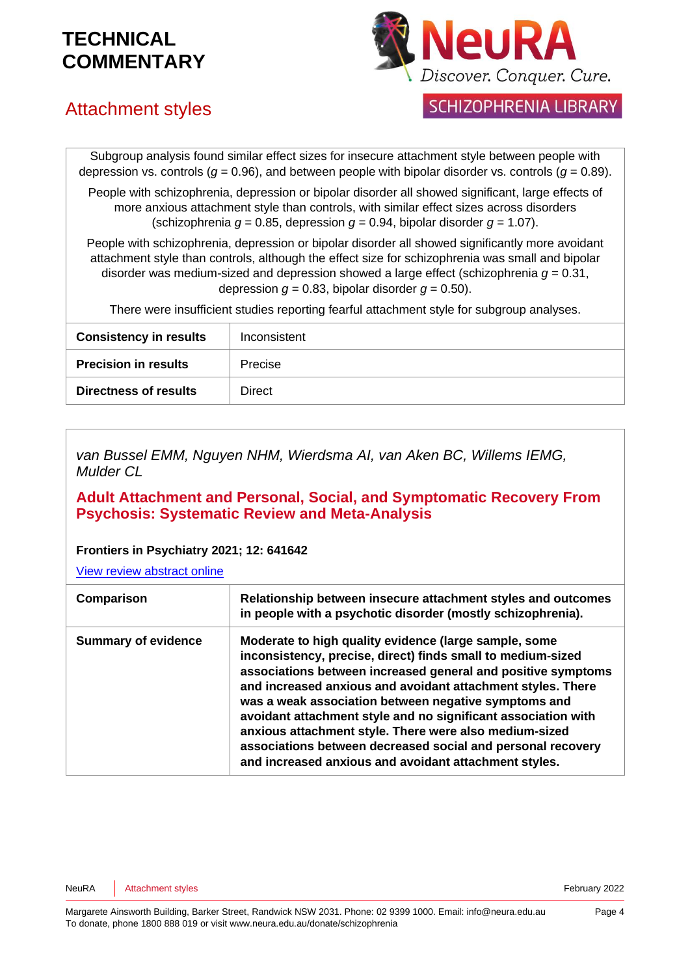

## Attachment styles

**SCHIZOPHRENIA LIBRARY** 

Subgroup analysis found similar effect sizes for insecure attachment style between people with depression vs. controls ( $g = 0.96$ ), and between people with bipolar disorder vs. controls ( $g = 0.89$ ).

People with schizophrenia, depression or bipolar disorder all showed significant, large effects of more anxious attachment style than controls, with similar effect sizes across disorders (schizophrenia  $q = 0.85$ , depression  $q = 0.94$ , bipolar disorder  $q = 1.07$ ).

People with schizophrenia, depression or bipolar disorder all showed significantly more avoidant attachment style than controls, although the effect size for schizophrenia was small and bipolar disorder was medium-sized and depression showed a large effect (schizophrenia *g* = 0.31, depression  $q = 0.83$ , bipolar disorder  $q = 0.50$ ).

There were insufficient studies reporting fearful attachment style for subgroup analyses.

| <b>Consistency in results</b><br>Inconsistent |  |
|-----------------------------------------------|--|
| <b>Precision in results</b><br><b>Precise</b> |  |
| <b>Directness of results</b><br><b>Direct</b> |  |

*van Bussel EMM, Nguyen NHM, Wierdsma AI, van Aken BC, Willems IEMG, Mulder CL*

**Adult Attachment and Personal, Social, and Symptomatic Recovery From Psychosis: Systematic Review and Meta-Analysis** 

#### **Frontiers in Psychiatry 2021; 12: 641642**

[View review abstract online](https://pubmed.ncbi.nlm.nih.gov/33716835/)

| Comparison                 | Relationship between insecure attachment styles and outcomes<br>in people with a psychotic disorder (mostly schizophrenia).                                                                                                                                                                                                                                                                                                                                                                                                                                    |
|----------------------------|----------------------------------------------------------------------------------------------------------------------------------------------------------------------------------------------------------------------------------------------------------------------------------------------------------------------------------------------------------------------------------------------------------------------------------------------------------------------------------------------------------------------------------------------------------------|
| <b>Summary of evidence</b> | Moderate to high quality evidence (large sample, some<br>inconsistency, precise, direct) finds small to medium-sized<br>associations between increased general and positive symptoms<br>and increased anxious and avoidant attachment styles. There<br>was a weak association between negative symptoms and<br>avoidant attachment style and no significant association with<br>anxious attachment style. There were also medium-sized<br>associations between decreased social and personal recovery<br>and increased anxious and avoidant attachment styles. |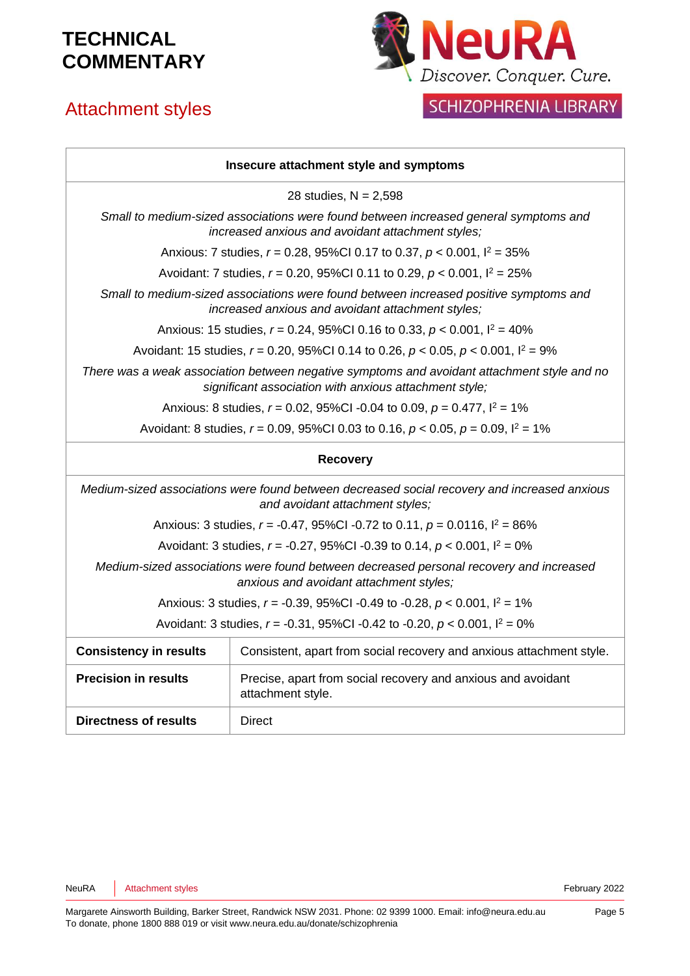# Attachment styles



#### SCHIZOPHRENIA LIBRARY

| Insecure attachment style and symptoms                                                                                                                |                                                                                             |  |
|-------------------------------------------------------------------------------------------------------------------------------------------------------|---------------------------------------------------------------------------------------------|--|
| 28 studies, $N = 2,598$                                                                                                                               |                                                                                             |  |
| Small to medium-sized associations were found between increased general symptoms and<br>increased anxious and avoidant attachment styles;             |                                                                                             |  |
|                                                                                                                                                       | Anxious: 7 studies, $r = 0.28$ , 95%Cl 0.17 to 0.37, $p < 0.001$ , $l^2 = 35\%$             |  |
|                                                                                                                                                       | Avoidant: 7 studies, $r = 0.20$ , 95%Cl 0.11 to 0.29, $p < 0.001$ , $l^2 = 25\%$            |  |
| Small to medium-sized associations were found between increased positive symptoms and<br>increased anxious and avoidant attachment styles;            |                                                                                             |  |
|                                                                                                                                                       | Anxious: 15 studies, $r = 0.24$ , 95%Cl 0.16 to 0.33, $p < 0.001$ , $l^2 = 40\%$            |  |
| Avoidant: 15 studies, $r = 0.20$ , 95%Cl 0.14 to 0.26, $p < 0.05$ , $p < 0.001$ , $l^2 = 9\%$                                                         |                                                                                             |  |
| There was a weak association between negative symptoms and avoidant attachment style and no<br>significant association with anxious attachment style; |                                                                                             |  |
| Anxious: 8 studies, $r = 0.02$ , 95%CI -0.04 to 0.09, $p = 0.477$ , $l^2 = 1\%$                                                                       |                                                                                             |  |
|                                                                                                                                                       | Avoidant: 8 studies, $r = 0.09$ , 95%CI 0.03 to 0.16, $p < 0.05$ , $p = 0.09$ , $l^2 = 1\%$ |  |
| <b>Recovery</b>                                                                                                                                       |                                                                                             |  |
| Medium-sized associations were found between decreased social recovery and increased anxious<br>and avoidant attachment styles;                       |                                                                                             |  |
|                                                                                                                                                       | Anxious: 3 studies, $r = -0.47$ , 95%Cl -0.72 to 0.11, $p = 0.0116$ , $l^2 = 86\%$          |  |
|                                                                                                                                                       | Avoidant: 3 studies, $r = -0.27$ , 95%CI -0.39 to 0.14, $p < 0.001$ , $l^2 = 0$ %           |  |
| Medium-sized associations were found between decreased personal recovery and increased<br>anxious and avoidant attachment styles;                     |                                                                                             |  |
| Anxious: 3 studies, $r = -0.39$ , 95%CI -0.49 to -0.28, $p < 0.001$ , $l^2 = 1\%$                                                                     |                                                                                             |  |
| Avoidant: 3 studies, $r = -0.31$ , 95%Cl -0.42 to -0.20, $p < 0.001$ , $l^2 = 0\%$                                                                    |                                                                                             |  |
| <b>Consistency in results</b>                                                                                                                         | Consistent, apart from social recovery and anxious attachment style.                        |  |
| <b>Precision in results</b>                                                                                                                           | Precise, apart from social recovery and anxious and avoidant<br>attachment style.           |  |
| <b>Directness of results</b>                                                                                                                          | <b>Direct</b>                                                                               |  |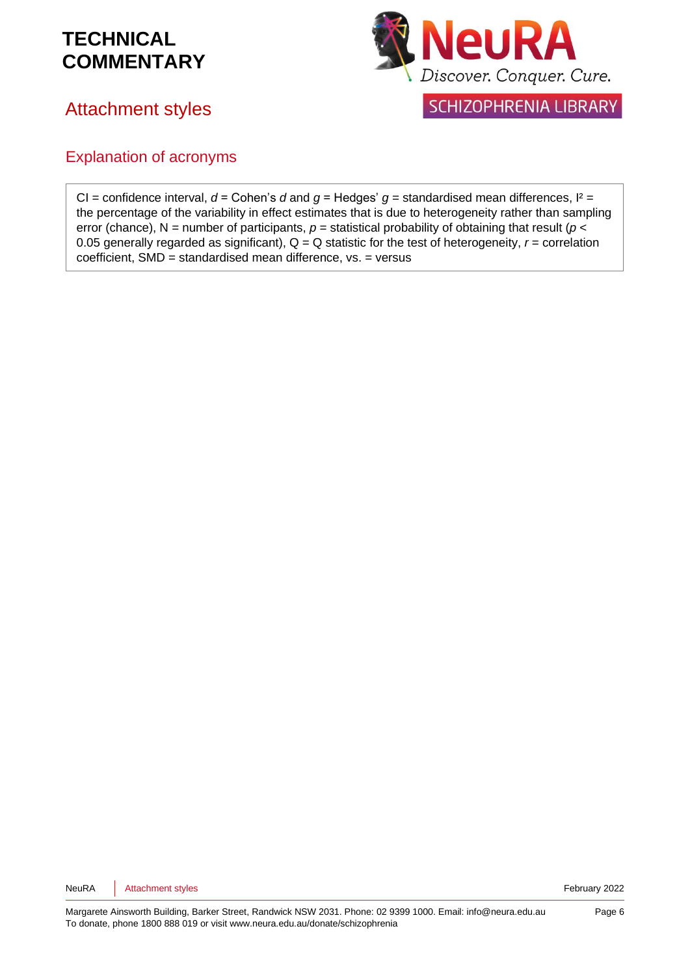#### Attachment styles



**SCHIZOPHRENIA LIBRARY** 

#### Explanation of acronyms

CI = confidence interval,  $d =$  Cohen's  $d$  and  $q =$  Hedges'  $q =$  standardised mean differences,  $l^2 =$ the percentage of the variability in effect estimates that is due to heterogeneity rather than sampling error (chance), N = number of participants,  $p$  = statistical probability of obtaining that result ( $p$  < 0.05 generally regarded as significant),  $Q = Q$  statistic for the test of heterogeneity,  $r =$  correlation coefficient, SMD = standardised mean difference, vs. = versus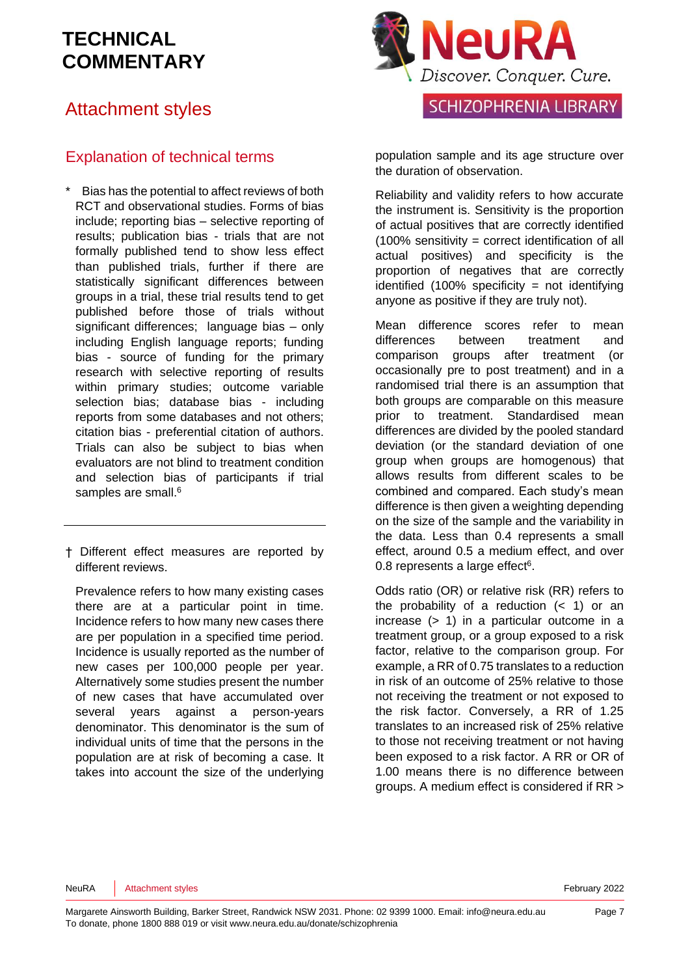#### Attachment styles

#### Explanation of technical terms

- Bias has the potential to affect reviews of both RCT and observational studies. Forms of bias include; reporting bias – selective reporting of results; publication bias - trials that are not formally published tend to show less effect than published trials, further if there are statistically significant differences between groups in a trial, these trial results tend to get published before those of trials without significant differences; language bias – only including English language reports; funding bias - source of funding for the primary research with selective reporting of results within primary studies; outcome variable selection bias; database bias - including reports from some databases and not others; citation bias - preferential citation of authors. Trials can also be subject to bias when evaluators are not blind to treatment condition and selection bias of participants if trial samples are small[.](#page-8-3)<sup>6</sup>
- † Different effect measures are reported by different reviews.

Prevalence refers to how many existing cases there are at a particular point in time. Incidence refers to how many new cases there are per population in a specified time period. Incidence is usually reported as the number of new cases per 100,000 people per year. Alternatively some studies present the number of new cases that have accumulated over several years against a person-years denominator. This denominator is the sum of individual units of time that the persons in the population are at risk of becoming a case. It takes into account the size of the underlying



population sample and its age structure over the duration of observation.

Reliability and validity refers to how accurate the instrument is. Sensitivity is the proportion of actual positives that are correctly identified (100% sensitivity = correct identification of all actual positives) and specificity is the proportion of negatives that are correctly identified (100% specificity = not identifying anyone as positive if they are truly not).

Mean difference scores refer to mean differences between treatment and comparison groups after treatment (or occasionally pre to post treatment) and in a randomised trial there is an assumption that both groups are comparable on this measure prior to treatment. Standardised mean differences are divided by the pooled standard deviation (or the standard deviation of one group when groups are homogenous) that allows results from different scales to be combined and compared. Each study's mean difference is then given a weighting depending on the size of the sample and the variability in the data. Less than 0.4 represents a small effect, around 0.5 a medium effect, and over 0.8 represents a large effe[ct](#page-8-3) $6$ .

Odds ratio (OR) or relative risk (RR) refers to the probability of a reduction  $($   $<$  1) or an increase (> 1) in a particular outcome in a treatment group, or a group exposed to a risk factor, relative to the comparison group. For example, a RR of 0.75 translates to a reduction in risk of an outcome of 25% relative to those not receiving the treatment or not exposed to the risk factor. Conversely, a RR of 1.25 translates to an increased risk of 25% relative to those not receiving treatment or not having been exposed to a risk factor. A RR or OR of 1.00 means there is no difference between groups. A medium effect is considered if RR >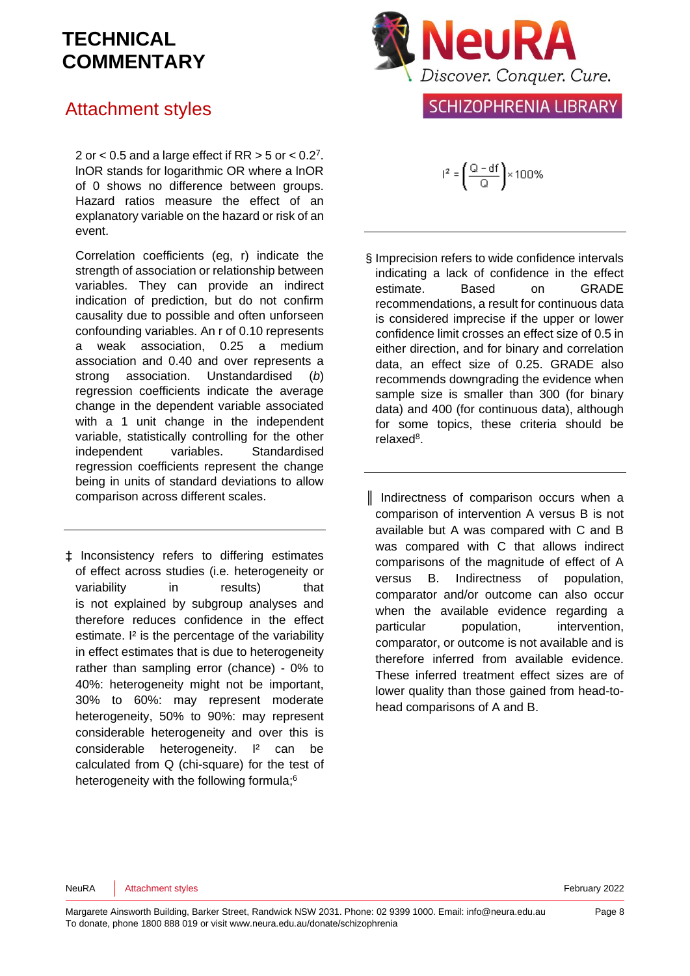#### Attachment styles

[2](#page-8-4) or  $<$  0.5 and a large effect if RR  $>$  5 or  $<$  0.2<sup>7</sup>. lnOR stands for logarithmic OR where a lnOR of 0 shows no difference between groups. Hazard ratios measure the effect of an explanatory variable on the hazard or risk of an event.

Correlation coefficients (eg, r) indicate the strength of association or relationship between variables. They can provide an indirect indication of prediction, but do not confirm causality due to possible and often unforseen confounding variables. An r of 0.10 represents a weak association, 0.25 a medium association and 0.40 and over represents a strong association. Unstandardised (*b*) regression coefficients indicate the average change in the dependent variable associated with a 1 unit change in the independent variable, statistically controlling for the other independent variables. Standardised regression coefficients represent the change being in units of standard deviations to allow comparison across different scales.

‡ Inconsistency refers to differing estimates of effect across studies (i.e. heterogeneity or variability in results) that is not explained by subgroup analyses and therefore reduces confidence in the effect estimate. <sup>12</sup> is the percentage of the variability in effect estimates that is due to heterogeneity rather than sampling error (chance) - 0% to 40%: heterogeneity might not be important, 30% to 60%: may represent moderate heterogeneity, 50% to 90%: may represent considerable heterogeneity and over this is considerable heterogeneity. I² can be calculated from Q (chi-square) for the test of heterogeneity with the following formula[;](#page-8-3)<sup>6</sup>



#### **SCHIZOPHRENIA LIBRARY**

 $I^2 = \left(\frac{Q - df}{Q}\right) \times 100\%$ 

- § Imprecision refers to wide confidence intervals indicating a lack of confidence in the effect estimate. Based on GRADE recommendations, a result for continuous data is considered imprecise if the upper or lower confidence limit crosses an effect size of 0.5 in either direction, and for binary and correlation data, an effect size of 0.25. GRADE also recommends downgrading the evidence when sample size is smaller than 300 (for binary data) and 400 (for continuous data), although for some topics, these criteria should be relaxe[d](#page-8-5)<sup>8</sup>.
- ║ Indirectness of comparison occurs when a comparison of intervention A versus B is not available but A was compared with C and B was compared with C that allows indirect comparisons of the magnitude of effect of A versus B. Indirectness of population, comparator and/or outcome can also occur when the available evidence regarding a particular population, intervention, comparator, or outcome is not available and is therefore inferred from available evidence. These inferred treatment effect sizes are of lower quality than those gained from head-tohead comparisons of A and B.